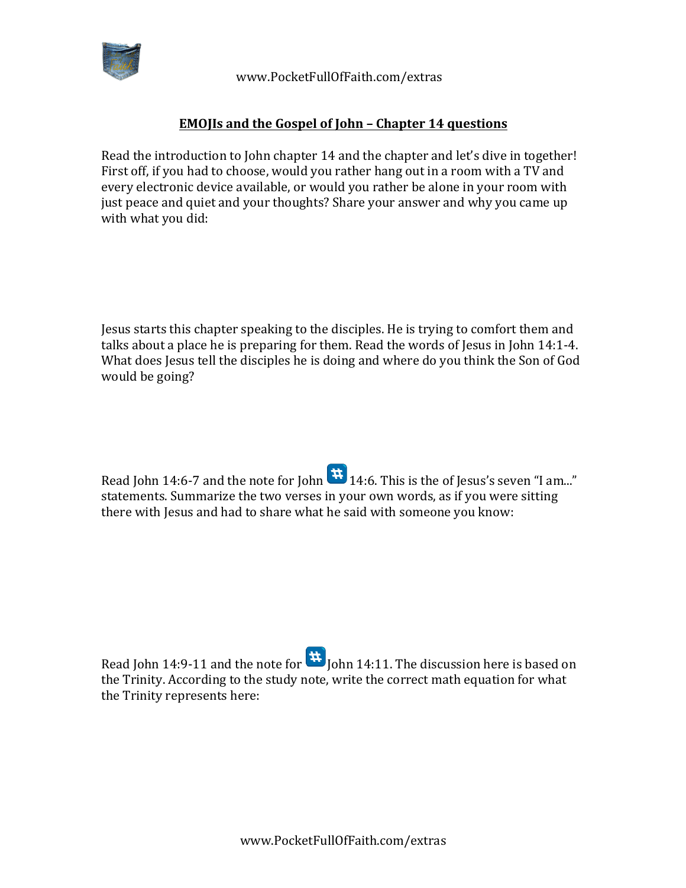

 www.PocketFullOfFaith.com/extras

## **EMOJIs and the Gospel of John - Chapter 14 questions**

Read the introduction to John chapter  $14$  and the chapter and let's dive in together! First off, if you had to choose, would you rather hang out in a room with a TV and every electronic device available, or would you rather be alone in your room with just peace and quiet and your thoughts? Share your answer and why you came up with what you did:

Jesus starts this chapter speaking to the disciples. He is trying to comfort them and talks about a place he is preparing for them. Read the words of Jesus in John 14:1-4. What does Jesus tell the disciples he is doing and where do you think the Son of God would be going?

Read John 14:6-7 and the note for John  $\mathbf{H}_{14:6}$ . This is the of Jesus's seven "I am..." statements. Summarize the two verses in your own words, as if you were sitting there with Jesus and had to share what he said with someone you know:

Read John 14:9-11 and the note for  $\mathbf{H}$  John 14:11. The discussion here is based on the Trinity. According to the study note, write the correct math equation for what the Trinity represents here: